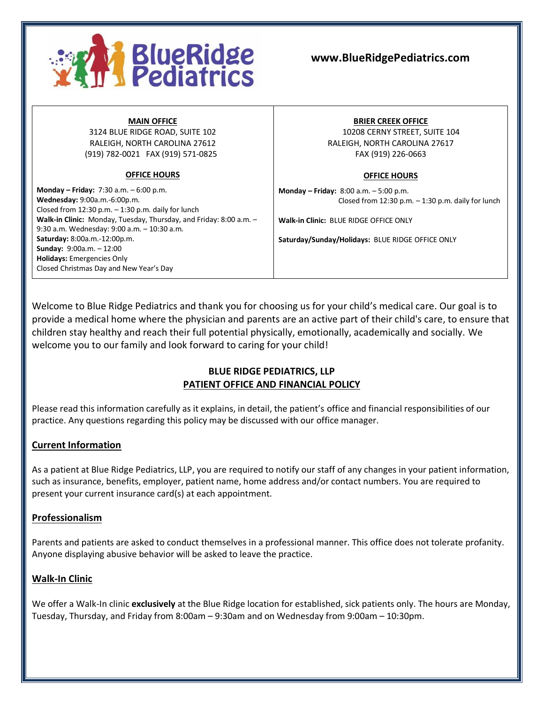

#### **MAIN OFFICE**

3124 BLUE RIDGE ROAD, SUITE 102 RALEIGH, NORTH CAROLINA 27612 (919) 782-0021 FAX (919) 571-0825

### **OFFICE HOURS**

**Monday – Friday:** 7:30 a.m. – 6:00 p.m. **Wednesday:** 9:00a.m.-6:00p.m. Closed from 12:30 p.m. – 1:30 p.m. daily for lunch **Walk-in Clinic:** Monday, Tuesday, Thursday, and Friday: 8:00 a.m. – 9:30 a.m. Wednesday: 9:00 a.m. – 10:30 a.m. **Saturday:** 8:00a.m.-12:00p.m. **Sunday:** 9:00a.m. – 12:00 **Holidays:** Emergencies Only Closed Christmas Day and New Year's Day

#### **BRIER CREEK OFFICE**

10208 CERNY STREET, SUITE 104 RALEIGH, NORTH CAROLINA 27617 FAX (919) 226-0663

#### **OFFICE HOURS**

**Monday – Friday:** 8:00 a.m. – 5:00 p.m. Closed from  $12:30$  p.m.  $-1:30$  p.m. daily for lunch

**Walk-in Clinic:** BLUE RIDGE OFFICE ONLY

**Saturday/Sunday/Holidays:** BLUE RIDGE OFFICE ONLY

Welcome to Blue Ridge Pediatrics and thank you for choosing us for your child's medical care. Our goal is to provide a medical home where the physician and parents are an active part of their child's care, to ensure that children stay healthy and reach their full potential physically, emotionally, academically and socially. We welcome you to our family and look forward to caring for your child!

# **BLUE RIDGE PEDIATRICS, LLP PATIENT OFFICE AND FINANCIAL POLICY**

Please read this information carefully as it explains, in detail, the patient's office and financial responsibilities of our practice. Any questions regarding this policy may be discussed with our office manager.

### **Current Information**

As a patient at Blue Ridge Pediatrics, LLP, you are required to notify our staff of any changes in your patient information, such as insurance, benefits, employer, patient name, home address and/or contact numbers. You are required to present your current insurance card(s) at each appointment.

### **Professionalism**

Parents and patients are asked to conduct themselves in a professional manner. This office does not tolerate profanity. Anyone displaying abusive behavior will be asked to leave the practice.

# **Walk-In Clinic**

We offer a Walk-In clinic **exclusively** at the Blue Ridge location for established, sick patients only. The hours are Monday, Tuesday, Thursday, and Friday from 8:00am – 9:30am and on Wednesday from 9:00am – 10:30pm.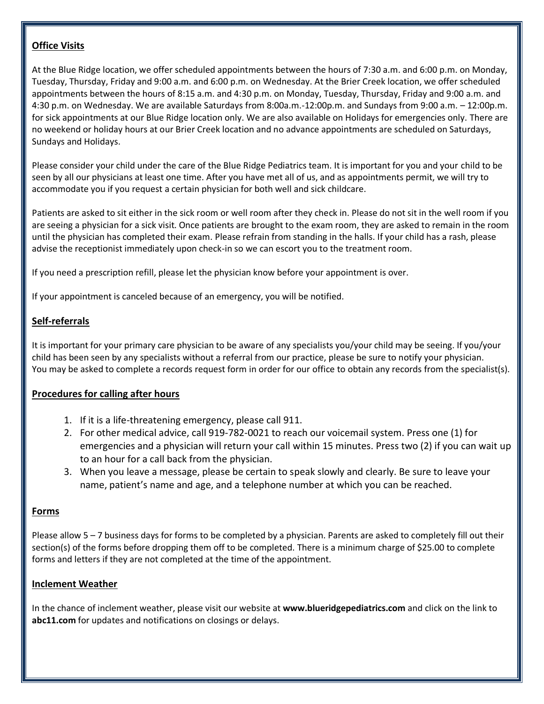### **Office Visits**

At the Blue Ridge location, we offer scheduled appointments between the hours of 7:30 a.m. and 6:00 p.m. on Monday, Tuesday, Thursday, Friday and 9:00 a.m. and 6:00 p.m. on Wednesday. At the Brier Creek location, we offer scheduled appointments between the hours of 8:15 a.m. and 4:30 p.m. on Monday, Tuesday, Thursday, Friday and 9:00 a.m. and 4:30 p.m. on Wednesday. We are available Saturdays from 8:00a.m.-12:00p.m. and Sundays from 9:00 a.m. – 12:00p.m. for sick appointments at our Blue Ridge location only. We are also available on Holidays for emergencies only. There are no weekend or holiday hours at our Brier Creek location and no advance appointments are scheduled on Saturdays, Sundays and Holidays.

Please consider your child under the care of the Blue Ridge Pediatrics team. It is important for you and your child to be seen by all our physicians at least one time. After you have met all of us, and as appointments permit, we will try to accommodate you if you request a certain physician for both well and sick childcare.

Patients are asked to sit either in the sick room or well room after they check in. Please do not sit in the well room if you are seeing a physician for a sick visit. Once patients are brought to the exam room, they are asked to remain in the room until the physician has completed their exam. Please refrain from standing in the halls. If your child has a rash, please advise the receptionist immediately upon check-in so we can escort you to the treatment room.

If you need a prescription refill, please let the physician know before your appointment is over.

If your appointment is canceled because of an emergency, you will be notified.

# **Self-referrals**

It is important for your primary care physician to be aware of any specialists you/your child may be seeing. If you/your child has been seen by any specialists without a referral from our practice, please be sure to notify your physician. You may be asked to complete a records request form in order for our office to obtain any records from the specialist(s).

### **Procedures for calling after hours**

- 1. If it is a life-threatening emergency, please call 911.
- 2. For other medical advice, call 919-782-0021 to reach our voicemail system. Press one (1) for emergencies and a physician will return your call within 15 minutes. Press two (2) if you can wait up to an hour for a call back from the physician.
- 3. When you leave a message, please be certain to speak slowly and clearly. Be sure to leave your name, patient's name and age, and a telephone number at which you can be reached.

### **Forms**

Please allow 5 – 7 business days for forms to be completed by a physician. Parents are asked to completely fill out their section(s) of the forms before dropping them off to be completed. There is a minimum charge of \$25.00 to complete forms and letters if they are not completed at the time of the appointment.

### **Inclement Weather**

In the chance of inclement weather, please visit our website at **www.blueridgepediatrics.com** and click on the link to **abc11.com** for updates and notifications on closings or delays.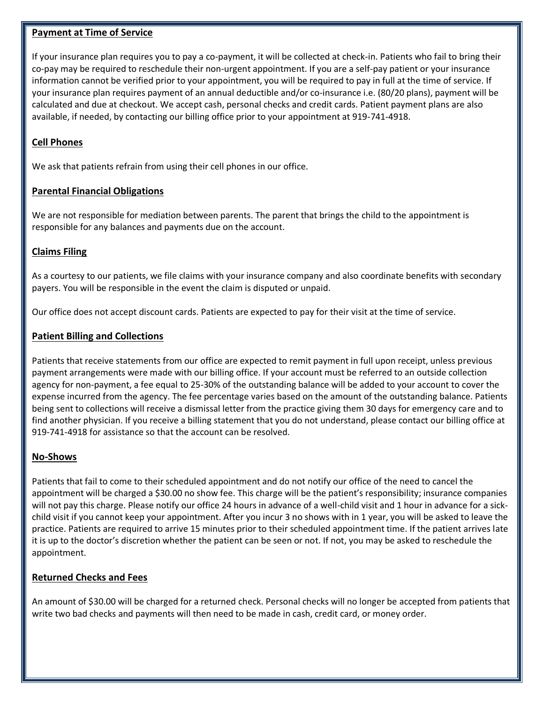#### **Payment at Time of Service**

If your insurance plan requires you to pay a co-payment, it will be collected at check-in. Patients who fail to bring their co-pay may be required to reschedule their non-urgent appointment. If you are a self-pay patient or your insurance information cannot be verified prior to your appointment, you will be required to pay in full at the time of service. If your insurance plan requires payment of an annual deductible and/or co-insurance i.e. (80/20 plans), payment will be calculated and due at checkout. We accept cash, personal checks and credit cards. Patient payment plans are also available, if needed, by contacting our billing office prior to your appointment at 919-741-4918.

## **Cell Phones**

We ask that patients refrain from using their cell phones in our office.

#### **Parental Financial Obligations**

We are not responsible for mediation between parents. The parent that brings the child to the appointment is responsible for any balances and payments due on the account.

### **Claims Filing**

As a courtesy to our patients, we file claims with your insurance company and also coordinate benefits with secondary payers. You will be responsible in the event the claim is disputed or unpaid.

Our office does not accept discount cards. Patients are expected to pay for their visit at the time of service.

#### **Patient Billing and Collections**

Patients that receive statements from our office are expected to remit payment in full upon receipt, unless previous payment arrangements were made with our billing office. If your account must be referred to an outside collection agency for non-payment, a fee equal to 25-30% of the outstanding balance will be added to your account to cover the expense incurred from the agency. The fee percentage varies based on the amount of the outstanding balance. Patients being sent to collections will receive a dismissal letter from the practice giving them 30 days for emergency care and to find another physician. If you receive a billing statement that you do not understand, please contact our billing office at 919-741-4918 for assistance so that the account can be resolved.

#### **No-Shows**

Patients that fail to come to their scheduled appointment and do not notify our office of the need to cancel the appointment will be charged a \$30.00 no show fee. This charge will be the patient's responsibility; insurance companies will not pay this charge. Please notify our office 24 hours in advance of a well-child visit and 1 hour in advance for a sickchild visit if you cannot keep your appointment. After you incur 3 no shows with in 1 year, you will be asked to leave the practice. Patients are required to arrive 15 minutes prior to their scheduled appointment time. If the patient arrives late it is up to the doctor's discretion whether the patient can be seen or not. If not, you may be asked to reschedule the appointment.

### **Returned Checks and Fees**

An amount of \$30.00 will be charged for a returned check. Personal checks will no longer be accepted from patients that write two bad checks and payments will then need to be made in cash, credit card, or money order.